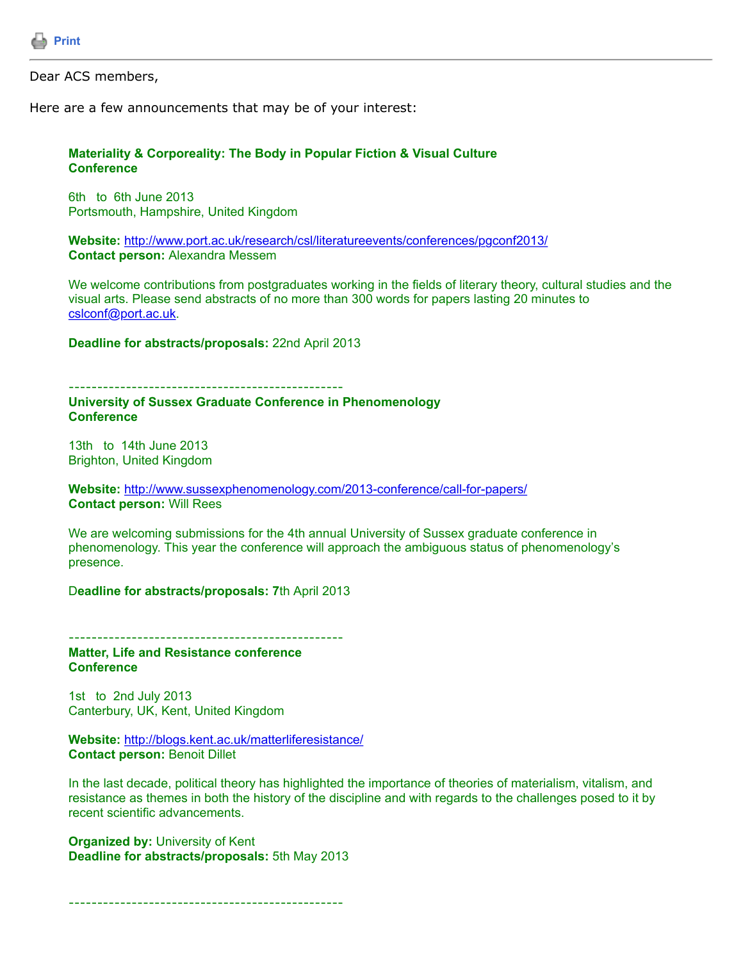

Dear ACS members,

Here are a few announcements that may be of your interest:

## **Materiality & Corporeality: The Body in Popular Fiction & Visual Culture Conference**

6th to 6th June 2013 Portsmouth, Hampshire, United Kingdom

**Website:** <http://www.port.ac.uk/research/csl/literatureevents/conferences/pgconf2013/> **Contact person:** Alexandra Messem

We welcome contributions from postgraduates working in the fields of literary theory, cultural studies and the visual arts. Please send abstracts of no more than 300 words for papers lasting 20 minutes to [cslconf@port.ac.uk.](https://listserv.tamu.edu/cgi-bin/cslconf@port.ac.uk)

**Deadline for abstracts/proposals:** 22nd April 2013

------------------------------------------------ **University of Sussex Graduate Conference in Phenomenology Conference**

13th to 14th June 2013 Brighton, United Kingdom

**Website:** <http://www.sussexphenomenology.com/2013-conference/call-for-papers/> **Contact person:** Will Rees

We are welcoming submissions for the 4th annual University of Sussex graduate conference in phenomenology. This year the conference will approach the ambiguous status of phenomenology's presence.

D**eadline for abstracts/proposals: 7**th April 2013

------------------------------------------------

**Matter, Life and Resistance conference Conference**

1st to 2nd July 2013 Canterbury, UK, Kent, United Kingdom

**Website:** <http://blogs.kent.ac.uk/matterliferesistance/> **Contact person:** Benoit Dillet

In the last decade, political theory has highlighted the importance of theories of materialism, vitalism, and resistance as themes in both the history of the discipline and with regards to the challenges posed to it by recent scientific advancements.

**Organized by:** University of Kent **Deadline for abstracts/proposals:** 5th May 2013

------------------------------------------------